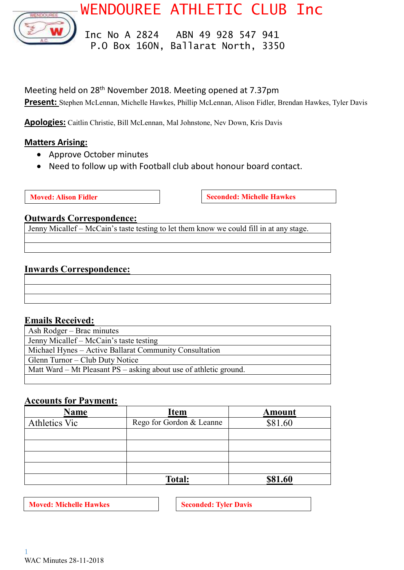

WENDOUREE ATHLETIC CLUB Inc

 Inc No A 2824 ABN 49 928 547 941 P.O Box 160N, Ballarat North, 3350

Meeting held on 28th November 2018. Meeting opened at 7.37pm **Present:** Stephen McLennan, Michelle Hawkes, Phillip McLennan, Alison Fidler, Brendan Hawkes, Tyler Davis

**Apologies:** Caitlin Christie, Bill McLennan, Mal Johnstone, Nev Down, Kris Davis

# **Matters Arising:**

- Approve October minutes
- Need to follow up with Football club about honour board contact.

**Moved:** Alison Fidler **Seconded:** Michelle Hawkes

### **Outwards Correspondence:**

Jenny Micallef – McCain's taste testing to let them know we could fill in at any stage.

# **Inwards Correspondence:**

# **Emails Received:**

| Ash Rodger – Brac minutes                                         |  |
|-------------------------------------------------------------------|--|
| Jenny Micallef – McCain's taste testing                           |  |
| Michael Hynes - Active Ballarat Community Consultation            |  |
| Glenn Turnor – Club Duty Notice                                   |  |
| Matt Ward – Mt Pleasant PS – asking about use of athletic ground. |  |
|                                                                   |  |

# **Accounts for Payment:**

| Name          | <b>Item</b>              | Amount  |
|---------------|--------------------------|---------|
| Athletics Vic | Rego for Gordon & Leanne | \$81.60 |
|               |                          |         |
|               |                          |         |
|               |                          |         |
|               |                          |         |
|               | <b>Total:</b>            | \$81.60 |

**Moved: Michelle Hawkes Seconded: Tyler Davis**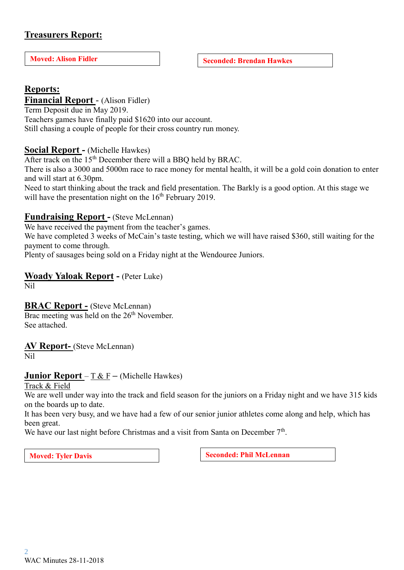# **Treasurers Report:**

**Moved:** Alison Fidler **Seconded:** Brendan Hawkes

# **Reports:**

# **Financial Report** - (Alison Fidler)

Term Deposit due in May 2019. Teachers games have finally paid \$1620 into our account. Still chasing a couple of people for their cross country run money.

### **Social Report -** (Michelle Hawkes)

After track on the 15<sup>th</sup> December there will a BBQ held by BRAC.

There is also a 3000 and 5000m race to race money for mental health, it will be a gold coin donation to enter and will start at 6.30pm.

Need to start thinking about the track and field presentation. The Barkly is a good option. At this stage we will have the presentation night on the  $16<sup>th</sup>$  February 2019.

### **Fundraising Report -** (Steve McLennan)

We have received the payment from the teacher's games.

We have completed 3 weeks of McCain's taste testing, which we will have raised \$360, still waiting for the payment to come through.

Plenty of sausages being sold on a Friday night at the Wendouree Juniors.

# **Woady Yaloak Report -** (Peter Luke)

Nil

# **BRAC Report -** (Steve McLennan)

Brac meeting was held on the 26<sup>th</sup> November. See attached.

**AV Report-** (Steve McLennan) Nil

### **Junior Report** – T & F **–** (Michelle Hawkes)

Track & Field

We are well under way into the track and field season for the juniors on a Friday night and we have 315 kids on the boards up to date.

It has been very busy, and we have had a few of our senior junior athletes come along and help, which has been great.

We have our last night before Christmas and a visit from Santa on December  $7<sup>th</sup>$ .

**Moved:** Tyler Davis **Seconded:** Phil McLennan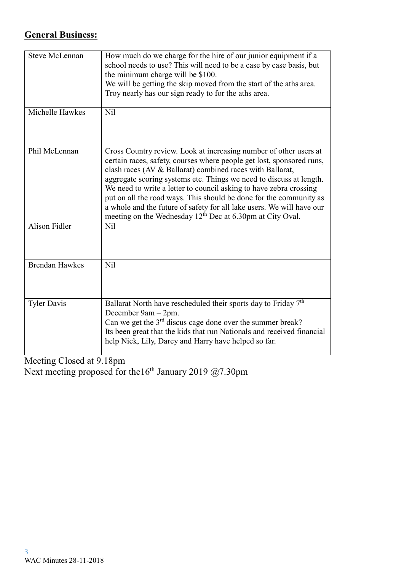# **General Business:**

| <b>Steve McLennan</b> | How much do we charge for the hire of our junior equipment if a<br>school needs to use? This will need to be a case by case basis, but<br>the minimum charge will be \$100.<br>We will be getting the skip moved from the start of the aths area.<br>Troy nearly has our sign ready to for the aths area.                                                                                                                                                                                                                                                                    |
|-----------------------|------------------------------------------------------------------------------------------------------------------------------------------------------------------------------------------------------------------------------------------------------------------------------------------------------------------------------------------------------------------------------------------------------------------------------------------------------------------------------------------------------------------------------------------------------------------------------|
| Michelle Hawkes       | Nil                                                                                                                                                                                                                                                                                                                                                                                                                                                                                                                                                                          |
| Phil McLennan         | Cross Country review. Look at increasing number of other users at<br>certain races, safety, courses where people get lost, sponsored runs,<br>clash races (AV & Ballarat) combined races with Ballarat,<br>aggregate scoring systems etc. Things we need to discuss at length.<br>We need to write a letter to council asking to have zebra crossing<br>put on all the road ways. This should be done for the community as<br>a whole and the future of safety for all lake users. We will have our<br>meeting on the Wednesday 12 <sup>th</sup> Dec at 6.30pm at City Oval. |
| <b>Alison Fidler</b>  | N <sub>il</sub>                                                                                                                                                                                                                                                                                                                                                                                                                                                                                                                                                              |
| <b>Brendan Hawkes</b> | N <sub>il</sub>                                                                                                                                                                                                                                                                                                                                                                                                                                                                                                                                                              |
| <b>Tyler Davis</b>    | Ballarat North have rescheduled their sports day to Friday 7 <sup>th</sup><br>December 9am - 2pm.<br>Can we get the $3rd$ discus cage done over the summer break?<br>Its been great that the kids that run Nationals and received financial<br>help Nick, Lily, Darcy and Harry have helped so far.                                                                                                                                                                                                                                                                          |

Meeting Closed at 9.18pm Next meeting proposed for the16<sup>th</sup> January 2019  $@7.30$ pm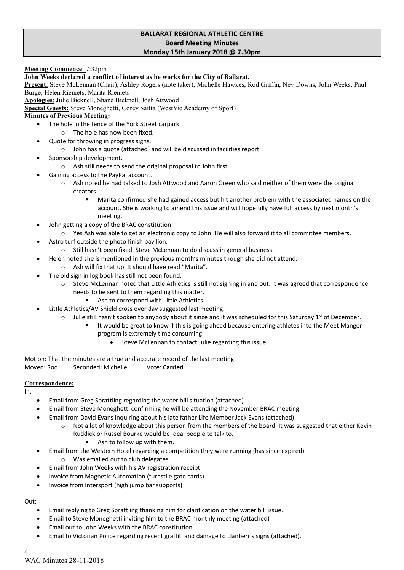### **BALLARAT REGIONAL ATHLETIC CENTRE Board Meeting Minutes Monday 15th January 2018 @ 7.30pm**

**Meeting Commence**: 7:32pm

#### **John Weeks declared a conflict of interest as he works for the City of Ballarat.**

**Present**: Steve McLennan (Chair), Ashley Rogers (note taker), Michelle Hawkes, Rod Griffin, Nev Downs, John Weeks, Paul Burge, Helen Rieniets, Marita Rieniets

**Apologies**: Julie Bicknell, Shane Bicknell, Josh Attwood

**Special Guests:** Steve Moneghetti, Corey Saitta (WestVic Academy of Sport)

### **Minutes of Previous Meeting:**

- The hole in the fence of the York Street carpark.
	- o The hole has now been fixed.
- Quote for throwing in progress signs.
	- o John has a quote (attached) and will be discussed in facilities report.
- Sponsorship development.
	- o Ash still needs to send the original proposal to John first.
- Gaining access to the PayPal account.
	- o Ash noted he had talked to Josh Attwood and Aaron Green who said neither of them were the original creators.
		- Marita confirmed she had gained access but hit another problem with the associated names on the account. She is working to amend this issue and will hopefully have full access by next month's meeting.
- John getting a copy of the BRAC constitution
- o Yes Ash was able to get an electronic copy to John. He will also forward it to all committee members.
- Astro turf outside the photo finish pavilion.
	- o Still hasn't been fixed. Steve McLennan to do discuss in general business.
		- Helen noted she is mentioned in the previous month's minutes though she did not attend.
			- o Ash will fix that up. It should have read "Marita".
- The old sign in log book has still not been found.
	- o Steve McLennan noted that Little Athletics is still not signing in and out. It was agreed that correspondence needs to be sent to them regarding this matter.
		- Ash to correspond with Little Athletics
- Little Athletics/AV Shield cross over day suggested last meeting.
	- $\circ$  Julie still hasn't spoken to anybody about it since and it was scheduled for this Saturday 1<sup>st</sup> of December.
		- It would be great to know if this is going ahead because entering athletes into the Meet Manger program is extremely time consuming
			- Steve McLennan to contact Julie regarding this issue.

Motion: That the minutes are a true and accurate record of the last meeting: Moved: Rod Seconded: Michelle Vote: **Carried**

### **Correspondence:**

In:

- Email from Greg Sprattling regarding the water bill situation (attached)
- Email from Steve Moneghetti confirming he will be attending the November BRAC meeting.
- Email from David Evans inquiring about his late father Life Member Jack Evans (attached)
	- o Not a lot of knowledge about this person from the members of the board. It was suggested that either Kevin Ruddick or Russel Bourke would be ideal people to talk to.
		- Ash to follow up with them.
- Email from the Western Hotel regarding a competition they were running (has since expired) o Was emailed out to club delegates.
- Email from John Weeks with his AV registration receipt.
- Invoice from Magnetic Automation (turnstile gate cards)
- Invoice from Intersport (high jump bar supports)

Out:

- Email replying to Greg Sprattling thanking him for clarification on the water bill issue.
- Email to Steve Moneghetti inviting him to the BRAC monthly meeting (attached)
- Email out to John Weeks with the BRAC constitution.
- Email to Victorian Police regarding recent graffiti and damage to Llanberris signs (attached).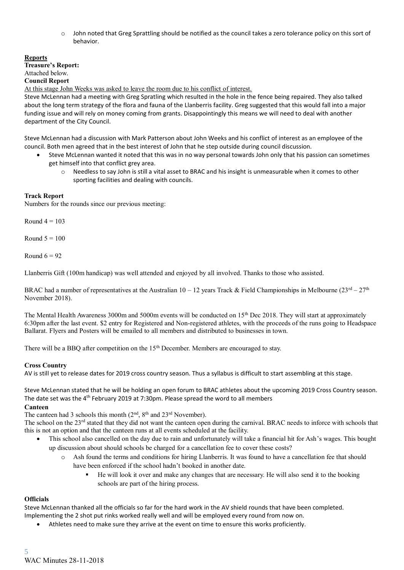o John noted that Greg Sprattling should be notified as the council takes a zero tolerance policy on this sort of behavior.

**Reports**

**Treasure's Report:** Attached below.

**Council Report**

At this stage John Weeks was asked to leave the room due to his conflict of interest.

Steve McLennan had a meeting with Greg Spratling which resulted in the hole in the fence being repaired. They also talked about the long term strategy of the flora and fauna of the Llanberris facility. Greg suggested that this would fall into a major funding issue and will rely on money coming from grants. Disappointingly this means we will need to deal with another department of the City Council.

Steve McLennan had a discussion with Mark Patterson about John Weeks and his conflict of interest as an employee of the council. Both men agreed that in the best interest of John that he step outside during council discussion.

- Steve McLennan wanted it noted that this was in no way personal towards John only that his passion can sometimes get himself into that conflict grey area.
	- o Needless to say John is still a vital asset to BRAC and his insight is unmeasurable when it comes to other sporting facilities and dealing with councils.

### **Track Report**

Numbers for the rounds since our previous meeting:

Round  $4 = 103$ 

Round  $5 = 100$ 

Round  $6 = 92$ 

Llanberris Gift (100m handicap) was well attended and enjoyed by all involved. Thanks to those who assisted.

BRAC had a number of representatives at the Australian  $10 - 12$  years Track & Field Championships in Melbourne  $(23^{rd} - 27^{th}$ November 2018).

The Mental Health Awareness 3000m and 5000m events will be conducted on  $15<sup>th</sup>$  Dec 2018. They will start at approximately 6:30pm after the last event. \$2 entry for Registered and Non-registered athletes, with the proceeds of the runs going to Headspace Ballarat. Flyers and Posters will be emailed to all members and distributed to businesses in town.

There will be a BBQ after competition on the  $15<sup>th</sup>$  December. Members are encouraged to stay.

### **Cross Country**

AV is still yet to release dates for 2019 cross country season. Thus a syllabus is difficult to start assembling at this stage.

Steve McLennan stated that he will be holding an open forum to BRAC athletes about the upcoming 2019 Cross Country season. The date set was the 4<sup>th</sup> February 2019 at 7:30pm. Please spread the word to all members

#### **Canteen**

The canteen had 3 schools this month  $(2<sup>nd</sup>, 8<sup>th</sup>$  and  $23<sup>rd</sup>$  November).

The school on the 23<sup>rd</sup> stated that they did not want the canteen open during the carnival. BRAC needs to inforce with schools that this is not an option and that the canteen runs at all events scheduled at the facility.

- This school also cancelled on the day due to rain and unfortunately will take a financial hit for Ash's wages. This bought up discussion about should schools be charged for a cancellation fee to cover these costs?
	- o Ash found the terms and conditions for hiring Llanberris. It was found to have a cancellation fee that should have been enforced if the school hadn't booked in another date.
		- He will look it over and make any changes that are necessary. He will also send it to the booking schools are part of the hiring process.

### **Officials**

Steve McLennan thanked all the officials so far for the hard work in the AV shield rounds that have been completed.

Implementing the 2 shot put rinks worked really well and will be employed every round from now on.

• Athletes need to make sure they arrive at the event on time to ensure this works proficiently.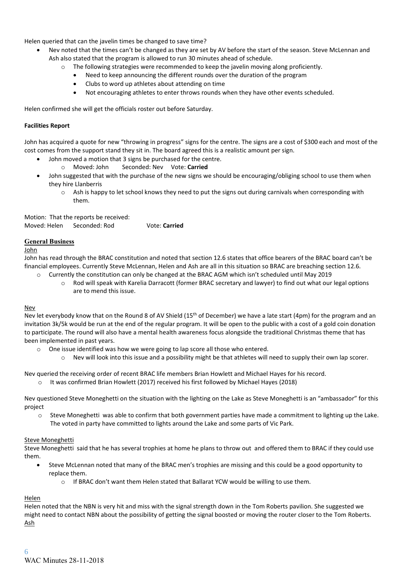Helen queried that can the javelin times be changed to save time?

- Nev noted that the times can't be changed as they are set by AV before the start of the season. Steve McLennan and Ash also stated that the program is allowed to run 30 minutes ahead of schedule.
	- The following strategies were recommended to keep the javelin moving along proficiently.
		- Need to keep announcing the different rounds over the duration of the program
		- Clubs to word up athletes about attending on time
		- Not encouraging athletes to enter throws rounds when they have other events scheduled.

Helen confirmed she will get the officials roster out before Saturday.

#### **Facilities Report**

John has acquired a quote for new "throwing in progress" signs for the centre. The signs are a cost of \$300 each and most of the cost comes from the support stand they sit in. The board agreed this is a realistic amount per sign.

- John moved a motion that 3 signs be purchased for the centre.
	- o Moved: John Seconded: Nev Vote: **Carried**
- John suggested that with the purchase of the new signs we should be encouraging/obliging school to use them when they hire Llanberris
	- $\circ$  Ash is happy to let school knows they need to put the signs out during carnivals when corresponding with them.

Motion: That the reports be received: Moved: Helen Seconded: Rod Vote: **Carried**

#### **General Business**

#### John

John has read through the BRAC constitution and noted that section 12.6 states that office bearers of the BRAC board can't be financial employees. Currently Steve McLennan, Helen and Ash are all in this situation so BRAC are breaching section 12.6.

- o Currently the constitution can only be changed at the BRAC AGM which isn't scheduled until May 2019
	- o Rod will speak with Karelia Darracott (former BRAC secretary and lawyer) to find out what our legal options are to mend this issue.

#### Nev

Nev let everybody know that on the Round 8 of AV Shield (15<sup>th</sup> of December) we have a late start (4pm) for the program and an invitation 3k/5k would be run at the end of the regular program. It will be open to the public with a cost of a gold coin donation to participate. The round will also have a mental health awareness focus alongside the traditional Christmas theme that has been implemented in past years.

- o One issue identified was how we were going to lap score all those who entered.
	- $\circ$  Nev will look into this issue and a possibility might be that athletes will need to supply their own lap scorer.

Nev queried the receiving order of recent BRAC life members Brian Howlett and Michael Hayes for his record.

o It was confirmed Brian Howlett (2017) received his first followed by Michael Hayes (2018)

Nev questioned Steve Moneghetti on the situation with the lighting on the Lake as Steve Moneghetti is an "ambassador" for this project

o Steve Moneghetti was able to confirm that both government parties have made a commitment to lighting up the Lake. The voted in party have committed to lights around the Lake and some parts of Vic Park.

#### Steve Moneghetti

Steve Moneghetti said that he has several trophies at home he plans to throw out and offered them to BRAC if they could use them.

- Steve McLennan noted that many of the BRAC men's trophies are missing and this could be a good opportunity to replace them.
	- o If BRAC don't want them Helen stated that Ballarat YCW would be willing to use them.

### **Helen**

Helen noted that the NBN is very hit and miss with the signal strength down in the Tom Roberts pavilion. She suggested we might need to contact NBN about the possibility of getting the signal boosted or moving the router closer to the Tom Roberts. Ash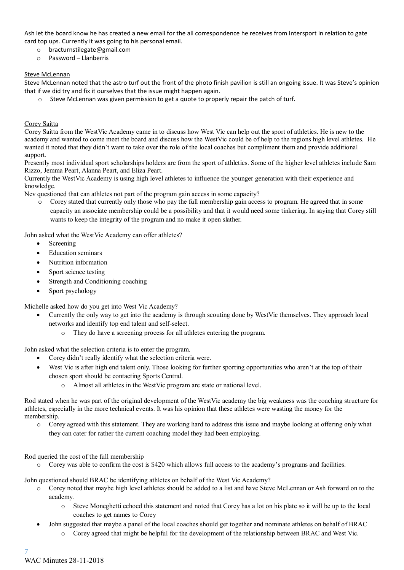Ash let the board know he has created a new email for the all correspondence he receives from Intersport in relation to gate card top ups. Currently it was going to his personal email.

- o bracturnstilegate@gmail.com
- o Password Llanberris

#### Steve McLennan

Steve McLennan noted that the astro turf out the front of the photo finish pavilion is still an ongoing issue. It was Steve's opinion that if we did try and fix it ourselves that the issue might happen again.

o Steve McLennan was given permission to get a quote to properly repair the patch of turf.

#### Corey Saitta

Corey Saitta from the WestVic Academy came in to discuss how West Vic can help out the sport of athletics. He is new to the academy and wanted to come meet the board and discuss how the WestVic could be of help to the regions high level athletes. He wanted it noted that they didn't want to take over the role of the local coaches but compliment them and provide additional support.

Presently most individual sport scholarships holders are from the sport of athletics. Some of the higher level athletes include Sam Rizzo, Jemma Peart, Alanna Peart, and Eliza Peart.

Currently the WestVic Academy is using high level athletes to influence the younger generation with their experience and knowledge.

Nev questioned that can athletes not part of the program gain access in some capacity?

o Corey stated that currently only those who pay the full membership gain access to program. He agreed that in some capacity an associate membership could be a possibility and that it would need some tinkering. In saying that Corey still wants to keep the integrity of the program and no make it open slather.

John asked what the WestVic Academy can offer athletes?

- Screening
- Education seminars
- Nutrition information
- Sport science testing
- Strength and Conditioning coaching
- Sport psychology

Michelle asked how do you get into West Vic Academy?

- Currently the only way to get into the academy is through scouting done by WestVic themselves. They approach local networks and identify top end talent and self-select.
	- o They do have a screening process for all athletes entering the program.

John asked what the selection criteria is to enter the program.

- Corey didn't really identify what the selection criteria were.
- West Vic is after high end talent only. Those looking for further sporting opportunities who aren't at the top of their chosen sport should be contacting Sports Central.
	- Almost all athletes in the WestVic program are state or national level.

Rod stated when he was part of the original development of the WestVic academy the big weakness was the coaching structure for athletes, especially in the more technical events. It was his opinion that these athletes were wasting the money for the membership.

o Corey agreed with this statement. They are working hard to address this issue and maybe looking at offering only what they can cater for rather the current coaching model they had been employing.

### Rod queried the cost of the full membership

o Corey was able to confirm the cost is \$420 which allows full access to the academy's programs and facilities.

John questioned should BRAC be identifying athletes on behalf of the West Vic Academy?

- o Corey noted that maybe high level athletes should be added to a list and have Steve McLennan or Ash forward on to the academy.
	- o Steve Moneghetti echoed this statement and noted that Corey has a lot on his plate so it will be up to the local coaches to get names to Corey
- John suggested that maybe a panel of the local coaches should get together and nominate athletes on behalf of BRAC o Corey agreed that might be helpful for the development of the relationship between BRAC and West Vic.